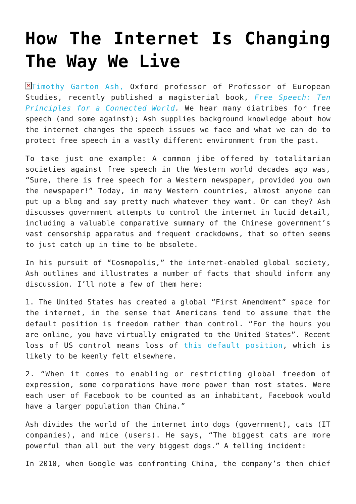## **[How The Internet Is Changing](https://intellectualtakeout.org/2016/09/how-the-internet-is-changing-the-way-we-live/) [The Way We Live](https://intellectualtakeout.org/2016/09/how-the-internet-is-changing-the-way-we-live/)**

**Exter and Septem** Ash, Oxford professor of Professor of European Studies, recently published a magisterial book, *[Free Speech: Ten](https://www.amazon.com/Free-Speech-Principles-Connected-World/dp/0300161166/ref=as_li_ss_tl?ie=UTF8&linkCode=sl1&tag=mercatornet-20&linkId=70b529fde7d1a481d495b92f4f8f9f39) [Principles for a Connected World.](https://www.amazon.com/Free-Speech-Principles-Connected-World/dp/0300161166/ref=as_li_ss_tl?ie=UTF8&linkCode=sl1&tag=mercatornet-20&linkId=70b529fde7d1a481d495b92f4f8f9f39)* We hear many diatribes for free speech (and some against); Ash supplies background knowledge about how the internet changes the speech issues we face and what we can do to protect free speech in a vastly different environment from the past.

To take just one example: A common jibe offered by totalitarian societies against free speech in the Western world decades ago was, "Sure, there is free speech for a Western newspaper, provided you own the newspaper!" Today, in many Western countries, almost anyone can put up a blog and say pretty much whatever they want. Or can they? Ash discusses government attempts to control the internet in lucid detail, including a valuable comparative summary of the Chinese government's vast censorship apparatus and frequent crackdowns, that so often seems to just catch up in time to be obsolete.

In his pursuit of "Cosmopolis," the internet-enabled global society, Ash outlines and illustrates a number of facts that should inform any discussion. I'll note a few of them here:

1. The United States has created a global "First Amendment" space for the internet, in the sense that Americans tend to assume that the default position is freedom rather than control. "For the hours you are online, you have virtually emigrated to the United States". Recent loss of US control means loss of [this default position](https://www.theguardian.com/technology/2016/mar/14/icann-internet-control-domain-names-iana), which is likely to be keenly felt elsewhere.

2. "When it comes to enabling or restricting global freedom of expression, some corporations have more power than most states. Were each user of Facebook to be counted as an inhabitant, Facebook would have a larger population than China."

Ash divides the world of the internet into dogs (government), cats (IT companies), and mice (users). He says, "The biggest cats are more powerful than all but the very biggest dogs." A telling incident:

In 2010, when Google was confronting China, the company's then chief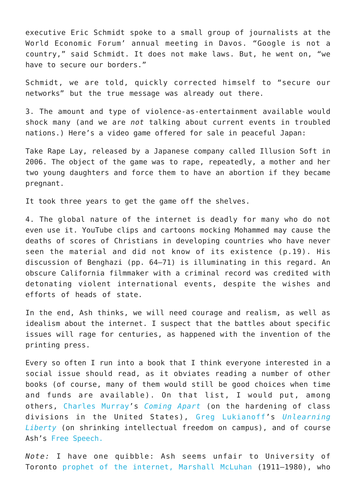executive Eric Schmidt spoke to a small group of journalists at the World Economic Forum' annual meeting in Davos. "Google is not a country," said Schmidt. It does not make laws. But, he went on, "we have to secure our borders."

Schmidt, we are told, quickly corrected himself to "secure our networks" but the true message was already out there.

3. The amount and type of violence-as-entertainment available would shock many (and we are *not* talking about current events in troubled nations.) Here's a video game offered for sale in peaceful Japan:

Take Rape Lay, released by a Japanese company called Illusion Soft in 2006. The object of the game was to rape, repeatedly, a mother and her two young daughters and force them to have an abortion if they became pregnant.

It took three years to get the game off the shelves.

4. The global nature of the internet is deadly for many who do not even use it. YouTube clips and cartoons mocking Mohammed may cause the deaths of scores of Christians in developing countries who have never seen the material and did not know of its existence (p.19). His discussion of Benghazi (pp. 64–71) is illuminating in this regard. An obscure California filmmaker with a criminal record was credited with detonating violent international events, despite the wishes and efforts of heads of state.

In the end, Ash thinks, we will need courage and realism, as well as idealism about the internet. I suspect that the battles about specific issues will rage for centuries, as happened with the invention of the printing press.

Every so often I run into a book that I think everyone interested in a social issue should read, as it obviates reading a number of other books (of course, many of them would still be good choices when time and funds are available). On that list, I would put, among others, [Charles Murray](https://www.aei.org/scholar/charles-murray/)'s *[Coming Apart](http://www.wsj.com/articles/SB10001424052970204301404577170733817181646)* (on the hardening of class divisions in the United States), [Greg Lukianoff'](https://www.thefire.org/author/greglukianoff/)s *[Unlearning](http://www.theatlantic.com/magazine/archive/2015/09/the-coddling-of-the-american-mind/399356/) [Liberty](http://www.theatlantic.com/magazine/archive/2015/09/the-coddling-of-the-american-mind/399356/)* (on shrinking intellectual freedom on campus), and of course Ash's [Free Speech.](https://www.amazon.co.uk/Free-Speech-Principles-Connected-World/dp/1848870922/?ie=UTF8&tag=tgabooks-21)

*Note:* I have one quibble: Ash seems unfair to University of Toronto [prophet of the internet,](https://www.theguardian.com/technology/2007/nov/01/comment.internet) [Marshall McLuhan](https://www.historicacanada.ca/content/heritage-minutes/marshall-mcluhan) (1911–1980), who